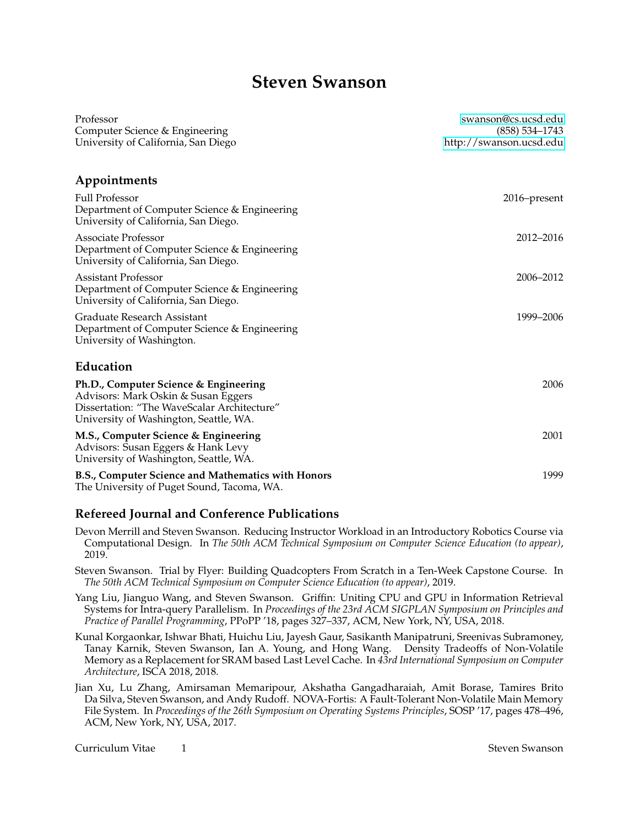# **Steven Swanson**

| Professor                                                                                                                                                             | swanson@cs.ucsd.edu                           |
|-----------------------------------------------------------------------------------------------------------------------------------------------------------------------|-----------------------------------------------|
| Computer Science & Engineering<br>University of California, San Diego                                                                                                 | $(858) 534 - 1743$<br>http://swanson.ucsd.edu |
|                                                                                                                                                                       |                                               |
| Appointments                                                                                                                                                          |                                               |
| <b>Full Professor</b><br>Department of Computer Science & Engineering<br>University of California, San Diego.                                                         | 2016–present                                  |
| Associate Professor<br>Department of Computer Science & Engineering<br>University of California, San Diego.                                                           | 2012-2016                                     |
| <b>Assistant Professor</b><br>Department of Computer Science & Engineering<br>University of California, San Diego.                                                    | 2006-2012                                     |
| Graduate Research Assistant<br>Department of Computer Science & Engineering<br>University of Washington.                                                              | 1999-2006                                     |
| Education                                                                                                                                                             |                                               |
| Ph.D., Computer Science & Engineering<br>Advisors: Mark Oskin & Susan Eggers<br>Dissertation: "The WaveScalar Architecture"<br>University of Washington, Seattle, WA. | 2006                                          |
| M.S., Computer Science & Engineering<br>Advisors: Susan Eggers & Hank Levy<br>University of Washington, Seattle, WA.                                                  | 2001                                          |
| B.S., Computer Science and Mathematics with Honors<br>The University of Puget Sound, Tacoma, WA.                                                                      | 1999                                          |

## **Refereed Journal and Conference Publications**

Devon Merrill and Steven Swanson. Reducing Instructor Workload in an Introductory Robotics Course via Computational Design. In *The 50th ACM Technical Symposium on Computer Science Education (to appear)*, 2019.

Steven Swanson. Trial by Flyer: Building Quadcopters From Scratch in a Ten-Week Capstone Course. In *The 50th ACM Technical Symposium on Computer Science Education (to appear)*, 2019.

Yang Liu, Jianguo Wang, and Steven Swanson. Griffin: Uniting CPU and GPU in Information Retrieval Systems for Intra-query Parallelism. In *Proceedings of the 23rd ACM SIGPLAN Symposium on Principles and Practice of Parallel Programming*, PPoPP '18, pages 327–337, ACM, New York, NY, USA, 2018.

Kunal Korgaonkar, Ishwar Bhati, Huichu Liu, Jayesh Gaur, Sasikanth Manipatruni, Sreenivas Subramoney, Tanay Karnik, Steven Swanson, Ian A. Young, and Hong Wang. Density Tradeoffs of Non-Volatile Memory as a Replacement for SRAM based Last Level Cache. In *43rd International Symposium on Computer Architecture*, ISCA 2018, 2018.

Jian Xu, Lu Zhang, Amirsaman Memaripour, Akshatha Gangadharaiah, Amit Borase, Tamires Brito Da Silva, Steven Swanson, and Andy Rudoff. NOVA-Fortis: A Fault-Tolerant Non-Volatile Main Memory File System. In *Proceedings of the 26th Symposium on Operating Systems Principles*, SOSP '17, pages 478–496, ACM, New York, NY, USA, 2017.

Curriculum Vitae 1 Steven Swanson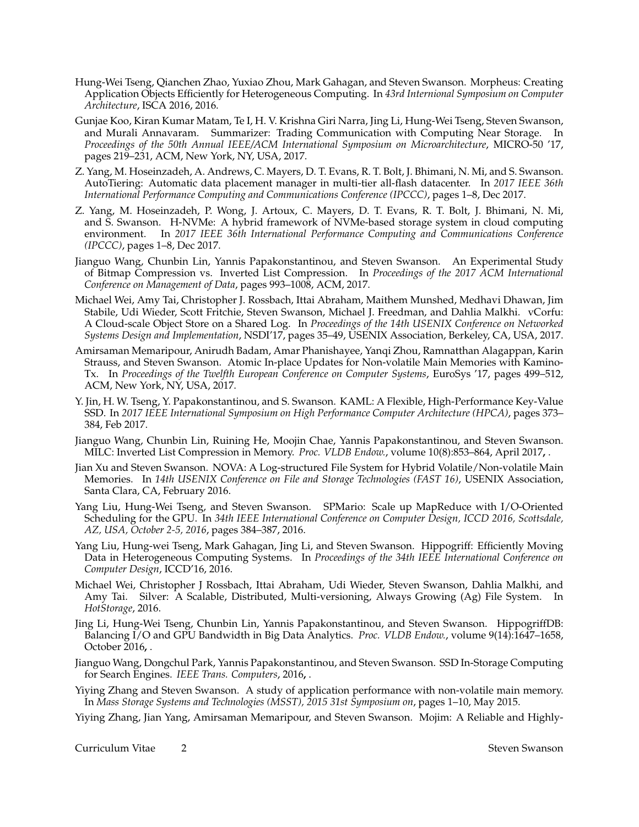- Hung-Wei Tseng, Qianchen Zhao, Yuxiao Zhou, Mark Gahagan, and Steven Swanson. Morpheus: Creating Application Objects Efficiently for Heterogeneous Computing. In *43rd Internional Symposium on Computer Architecture*, ISCA 2016, 2016.
- Gunjae Koo, Kiran Kumar Matam, Te I, H. V. Krishna Giri Narra, Jing Li, Hung-Wei Tseng, Steven Swanson, and Murali Annavaram. Summarizer: Trading Communication with Computing Near Storage. In *Proceedings of the 50th Annual IEEE/ACM International Symposium on Microarchitecture*, MICRO-50 '17, pages 219–231, ACM, New York, NY, USA, 2017.
- Z. Yang, M. Hoseinzadeh, A. Andrews, C. Mayers, D. T. Evans, R. T. Bolt, J. Bhimani, N. Mi, and S. Swanson. AutoTiering: Automatic data placement manager in multi-tier all-flash datacenter. In *2017 IEEE 36th International Performance Computing and Communications Conference (IPCCC)*, pages 1–8, Dec 2017.
- Z. Yang, M. Hoseinzadeh, P. Wong, J. Artoux, C. Mayers, D. T. Evans, R. T. Bolt, J. Bhimani, N. Mi, and S. Swanson. H-NVMe: A hybrid framework of NVMe-based storage system in cloud computing environment. In 2017 IEEE 36th International Performance Computing and Communications Conference In 2017 IEEE 36th International Performance Computing and Communications Conference *(IPCCC)*, pages 1–8, Dec 2017.
- Jianguo Wang, Chunbin Lin, Yannis Papakonstantinou, and Steven Swanson. An Experimental Study of Bitmap Compression vs. Inverted List Compression. In *Proceedings of the 2017 ACM International Conference on Management of Data*, pages 993–1008, ACM, 2017.
- Michael Wei, Amy Tai, Christopher J. Rossbach, Ittai Abraham, Maithem Munshed, Medhavi Dhawan, Jim Stabile, Udi Wieder, Scott Fritchie, Steven Swanson, Michael J. Freedman, and Dahlia Malkhi. vCorfu: A Cloud-scale Object Store on a Shared Log. In *Proceedings of the 14th USENIX Conference on Networked Systems Design and Implementation*, NSDI'17, pages 35–49, USENIX Association, Berkeley, CA, USA, 2017.
- Amirsaman Memaripour, Anirudh Badam, Amar Phanishayee, Yanqi Zhou, Ramnatthan Alagappan, Karin Strauss, and Steven Swanson. Atomic In-place Updates for Non-volatile Main Memories with Kamino-Tx. In *Proceedings of the Twelfth European Conference on Computer Systems*, EuroSys '17, pages 499–512, ACM, New York, NY, USA, 2017.
- Y. Jin, H. W. Tseng, Y. Papakonstantinou, and S. Swanson. KAML: A Flexible, High-Performance Key-Value SSD. In *2017 IEEE International Symposium on High Performance Computer Architecture (HPCA)*, pages 373– 384, Feb 2017.
- Jianguo Wang, Chunbin Lin, Ruining He, Moojin Chae, Yannis Papakonstantinou, and Steven Swanson. MILC: Inverted List Compression in Memory. *Proc. VLDB Endow.*, volume 10(8):853–864, April 2017**,** .
- Jian Xu and Steven Swanson. NOVA: A Log-structured File System for Hybrid Volatile/Non-volatile Main Memories. In *14th USENIX Conference on File and Storage Technologies (FAST 16)*, USENIX Association, Santa Clara, CA, February 2016.
- Yang Liu, Hung-Wei Tseng, and Steven Swanson. SPMario: Scale up MapReduce with I/O-Oriented Scheduling for the GPU. In *34th IEEE International Conference on Computer Design, ICCD 2016, Scottsdale, AZ, USA, October 2-5, 2016*, pages 384–387, 2016.
- Yang Liu, Hung-wei Tseng, Mark Gahagan, Jing Li, and Steven Swanson. Hippogriff: Efficiently Moving Data in Heterogeneous Computing Systems. In *Proceedings of the 34th IEEE International Conference on Computer Design*, ICCD'16, 2016.
- Michael Wei, Christopher J Rossbach, Ittai Abraham, Udi Wieder, Steven Swanson, Dahlia Malkhi, and Amy Tai. Silver: A Scalable, Distributed, Multi-versioning, Always Growing (Ag) File System. In *HotStorage*, 2016.
- Jing Li, Hung-Wei Tseng, Chunbin Lin, Yannis Papakonstantinou, and Steven Swanson. HippogriffDB: Balancing I/O and GPU Bandwidth in Big Data Analytics. *Proc. VLDB Endow.*, volume 9(14):1647–1658, October 2016**,** .
- Jianguo Wang, Dongchul Park, Yannis Papakonstantinou, and Steven Swanson. SSD In-Storage Computing for Search Engines. *IEEE Trans. Computers*, 2016**,** .
- Yiying Zhang and Steven Swanson. A study of application performance with non-volatile main memory. In *Mass Storage Systems and Technologies (MSST), 2015 31st Symposium on*, pages 1–10, May 2015.
- Yiying Zhang, Jian Yang, Amirsaman Memaripour, and Steven Swanson. Mojim: A Reliable and Highly-

Curriculum Vitae 2 Steven Swanson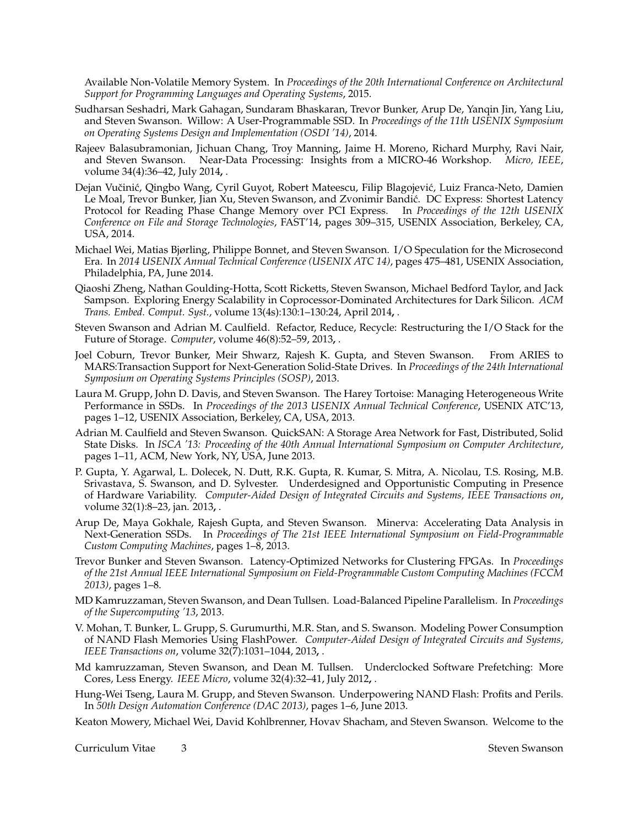Available Non-Volatile Memory System. In *Proceedings of the 20th International Conference on Architectural Support for Programming Languages and Operating Systems*, 2015.

- Sudharsan Seshadri, Mark Gahagan, Sundaram Bhaskaran, Trevor Bunker, Arup De, Yanqin Jin, Yang Liu, and Steven Swanson. Willow: A User-Programmable SSD. In *Proceedings of the 11th USENIX Symposium on Operating Systems Design and Implementation (OSDI '14)*, 2014.
- Rajeev Balasubramonian, Jichuan Chang, Troy Manning, Jaime H. Moreno, Richard Murphy, Ravi Nair, and Steven Swanson. Near-Data Processing: Insights from a MICRO-46 Workshop. *Micro, IEEE*, volume 34(4):36–42, July 2014**,** .
- Dejan Vučinić, Qingbo Wang, Cyril Guyot, Robert Mateescu, Filip Blagojević, Luiz Franca-Neto, Damien Le Moal, Trevor Bunker, Jian Xu, Steven Swanson, and Zvonimir Bandic. DC Express: Shortest Latency ´ Protocol for Reading Phase Change Memory over PCI Express. In *Proceedings of the 12th USENIX Conference on File and Storage Technologies*, FAST'14, pages 309–315, USENIX Association, Berkeley, CA, USA, 2014.
- Michael Wei, Matias Bjørling, Philippe Bonnet, and Steven Swanson. I/O Speculation for the Microsecond Era. In *2014 USENIX Annual Technical Conference (USENIX ATC 14)*, pages 475–481, USENIX Association, Philadelphia, PA, June 2014.
- Qiaoshi Zheng, Nathan Goulding-Hotta, Scott Ricketts, Steven Swanson, Michael Bedford Taylor, and Jack Sampson. Exploring Energy Scalability in Coprocessor-Dominated Architectures for Dark Silicon. *ACM Trans. Embed. Comput. Syst.*, volume 13(4s):130:1–130:24, April 2014**,** .
- Steven Swanson and Adrian M. Caulfield. Refactor, Reduce, Recycle: Restructuring the I/O Stack for the Future of Storage. *Computer*, volume 46(8):52–59, 2013**,** .
- Joel Coburn, Trevor Bunker, Meir Shwarz, Rajesh K. Gupta, and Steven Swanson. From ARIES to MARS:Transaction Support for Next-Generation Solid-State Drives. In *Proceedings of the 24th International Symposium on Operating Systems Principles (SOSP)*, 2013.
- Laura M. Grupp, John D. Davis, and Steven Swanson. The Harey Tortoise: Managing Heterogeneous Write Performance in SSDs. In *Proceedings of the 2013 USENIX Annual Technical Conference*, USENIX ATC'13, pages 1–12, USENIX Association, Berkeley, CA, USA, 2013.
- Adrian M. Caulfield and Steven Swanson. QuickSAN: A Storage Area Network for Fast, Distributed, Solid State Disks. In *ISCA '13: Proceeding of the 40th Annual International Symposium on Computer Architecture*, pages 1–11, ACM, New York, NY, USA, June 2013.
- P. Gupta, Y. Agarwal, L. Dolecek, N. Dutt, R.K. Gupta, R. Kumar, S. Mitra, A. Nicolau, T.S. Rosing, M.B. Srivastava, S. Swanson, and D. Sylvester. Underdesigned and Opportunistic Computing in Presence of Hardware Variability. *Computer-Aided Design of Integrated Circuits and Systems, IEEE Transactions on*, volume 32(1):8–23, jan. 2013**,** .
- Arup De, Maya Gokhale, Rajesh Gupta, and Steven Swanson. Minerva: Accelerating Data Analysis in Next-Generation SSDs. In *Proceedings of The 21st IEEE International Symposium on Field-Programmable Custom Computing Machines*, pages 1–8, 2013.
- Trevor Bunker and Steven Swanson. Latency-Optimized Networks for Clustering FPGAs. In *Proceedings of the 21st Annual IEEE International Symposium on Field-Programmable Custom Computing Machines (FCCM 2013)*, pages 1–8.
- MD Kamruzzaman, Steven Swanson, and Dean Tullsen. Load-Balanced Pipeline Parallelism. In *Proceedings of the Supercomputing '13*, 2013.
- V. Mohan, T. Bunker, L. Grupp, S. Gurumurthi, M.R. Stan, and S. Swanson. Modeling Power Consumption of NAND Flash Memories Using FlashPower. *Computer-Aided Design of Integrated Circuits and Systems, IEEE Transactions on*, volume 32(7):1031–1044, 2013**,** .
- Md kamruzzaman, Steven Swanson, and Dean M. Tullsen. Underclocked Software Prefetching: More Cores, Less Energy. *IEEE Micro*, volume 32(4):32–41, July 2012**,** .
- Hung-Wei Tseng, Laura M. Grupp, and Steven Swanson. Underpowering NAND Flash: Profits and Perils. In *50th Design Automation Conference (DAC 2013)*, pages 1–6, June 2013.
- Keaton Mowery, Michael Wei, David Kohlbrenner, Hovav Shacham, and Steven Swanson. Welcome to the

**Curriculum Vitae 3** 3 3 3 3 3 3 3 4 4 5  $\mu$  5 3 3 4 5  $\mu$  5  $\mu$  5  $\mu$  5  $\mu$  5  $\mu$  5  $\mu$  5  $\mu$  5  $\mu$  5  $\mu$  5  $\mu$  5  $\mu$  5  $\mu$  5  $\mu$  5  $\mu$  5  $\mu$  5  $\mu$  5  $\mu$  5  $\mu$  5  $\mu$  5  $\mu$  5  $\mu$  5  $\mu$  5  $\mu$  5  $\mu$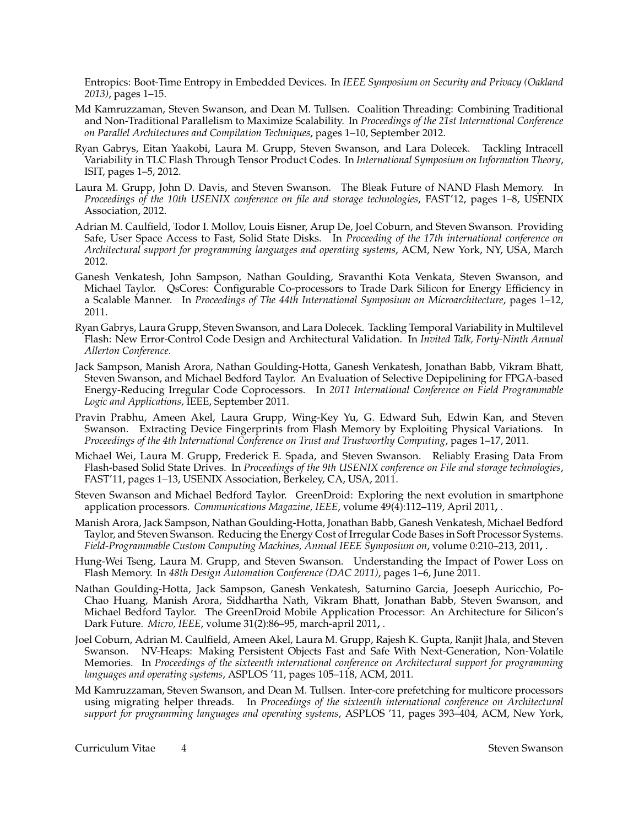Entropics: Boot-Time Entropy in Embedded Devices. In *IEEE Symposium on Security and Privacy (Oakland 2013)*, pages 1–15.

- Md Kamruzzaman, Steven Swanson, and Dean M. Tullsen. Coalition Threading: Combining Traditional and Non-Traditional Parallelism to Maximize Scalability. In *Proceedings of the 21st International Conference on Parallel Architectures and Compilation Techniques*, pages 1–10, September 2012.
- Ryan Gabrys, Eitan Yaakobi, Laura M. Grupp, Steven Swanson, and Lara Dolecek. Tackling Intracell Variability in TLC Flash Through Tensor Product Codes. In *International Symposium on Information Theory*, ISIT, pages 1–5, 2012.
- Laura M. Grupp, John D. Davis, and Steven Swanson. The Bleak Future of NAND Flash Memory. In *Proceedings of the 10th USENIX conference on file and storage technologies*, FAST'12, pages 1–8, USENIX Association, 2012.
- Adrian M. Caulfield, Todor I. Mollov, Louis Eisner, Arup De, Joel Coburn, and Steven Swanson. Providing Safe, User Space Access to Fast, Solid State Disks. In Proceeding of the 17th international conference on *Architectural support for programming languages and operating systems*, ACM, New York, NY, USA, March 2012.
- Ganesh Venkatesh, John Sampson, Nathan Goulding, Sravanthi Kota Venkata, Steven Swanson, and Michael Taylor. QsCores: Configurable Co-processors to Trade Dark Silicon for Energy Efficiency in a Scalable Manner. In *Proceedings of The 44th International Symposium on Microarchitecture*, pages 1–12, 2011.
- Ryan Gabrys, Laura Grupp, Steven Swanson, and Lara Dolecek. Tackling Temporal Variability in Multilevel Flash: New Error-Control Code Design and Architectural Validation. In *Invited Talk, Forty-Ninth Annual Allerton Conference*.
- Jack Sampson, Manish Arora, Nathan Goulding-Hotta, Ganesh Venkatesh, Jonathan Babb, Vikram Bhatt, Steven Swanson, and Michael Bedford Taylor. An Evaluation of Selective Depipelining for FPGA-based Energy-Reducing Irregular Code Coprocessors. In *2011 International Conference on Field Programmable Logic and Applications*, IEEE, September 2011.
- Pravin Prabhu, Ameen Akel, Laura Grupp, Wing-Key Yu, G. Edward Suh, Edwin Kan, and Steven Swanson. Extracting Device Fingerprints from Flash Memory by Exploiting Physical Variations. In *Proceedings of the 4th International Conference on Trust and Trustworthy Computing*, pages 1–17, 2011.
- Michael Wei, Laura M. Grupp, Frederick E. Spada, and Steven Swanson. Reliably Erasing Data From Flash-based Solid State Drives. In *Proceedings of the 9th USENIX conference on File and storage technologies*, FAST'11, pages 1–13, USENIX Association, Berkeley, CA, USA, 2011.
- Steven Swanson and Michael Bedford Taylor. GreenDroid: Exploring the next evolution in smartphone application processors. *Communications Magazine, IEEE*, volume 49(4):112–119, April 2011**,** .
- Manish Arora, Jack Sampson, Nathan Goulding-Hotta, Jonathan Babb, Ganesh Venkatesh, Michael Bedford Taylor, and Steven Swanson. Reducing the Energy Cost of Irregular Code Bases in Soft Processor Systems. *Field-Programmable Custom Computing Machines, Annual IEEE Symposium on*, volume 0:210–213, 2011**,** .
- Hung-Wei Tseng, Laura M. Grupp, and Steven Swanson. Understanding the Impact of Power Loss on Flash Memory. In *48th Design Automation Conference (DAC 2011)*, pages 1–6, June 2011.
- Nathan Goulding-Hotta, Jack Sampson, Ganesh Venkatesh, Saturnino Garcia, Joeseph Auricchio, Po-Chao Huang, Manish Arora, Siddhartha Nath, Vikram Bhatt, Jonathan Babb, Steven Swanson, and Michael Bedford Taylor. The GreenDroid Mobile Application Processor: An Architecture for Silicon's Dark Future. *Micro, IEEE*, volume 31(2):86–95, march-april 2011**,** .
- Joel Coburn, Adrian M. Caulfield, Ameen Akel, Laura M. Grupp, Rajesh K. Gupta, Ranjit Jhala, and Steven Swanson. NV-Heaps: Making Persistent Objects Fast and Safe With Next-Generation, Non-Volatile Memories. In *Proceedings of the sixteenth international conference on Architectural support for programming languages and operating systems*, ASPLOS '11, pages 105–118, ACM, 2011.
- Md Kamruzzaman, Steven Swanson, and Dean M. Tullsen. Inter-core prefetching for multicore processors using migrating helper threads. In *Proceedings of the sixteenth international conference on Architectural support for programming languages and operating systems*, ASPLOS '11, pages 393–404, ACM, New York,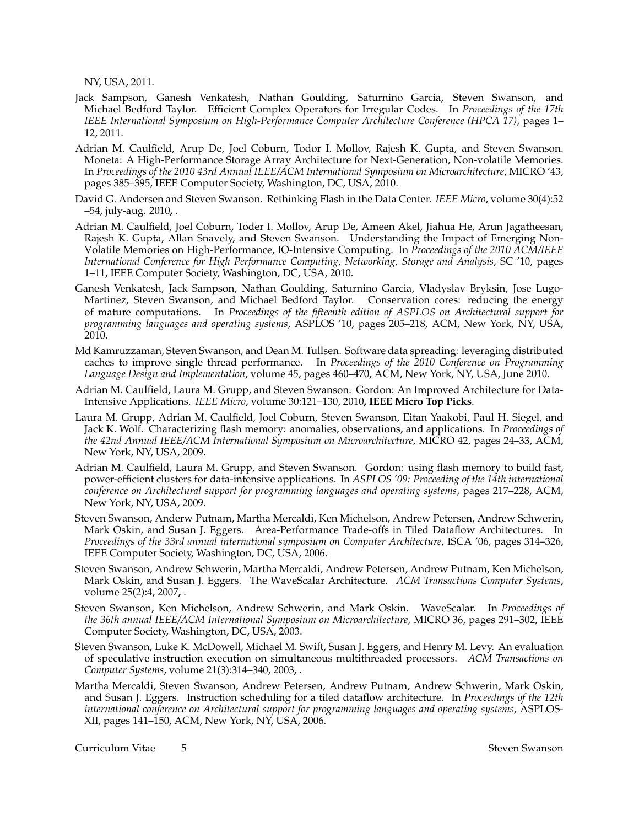NY, USA, 2011.

- Jack Sampson, Ganesh Venkatesh, Nathan Goulding, Saturnino Garcia, Steven Swanson, and Michael Bedford Taylor. Efficient Complex Operators for Irregular Codes. In *Proceedings of the 17th IEEE International Symposium on High-Performance Computer Architecture Conference (HPCA 17)*, pages 1– 12, 2011.
- Adrian M. Caulfield, Arup De, Joel Coburn, Todor I. Mollov, Rajesh K. Gupta, and Steven Swanson. Moneta: A High-Performance Storage Array Architecture for Next-Generation, Non-volatile Memories. In *Proceedings of the 2010 43rd Annual IEEE/ACM International Symposium on Microarchitecture*, MICRO '43, pages 385–395, IEEE Computer Society, Washington, DC, USA, 2010.
- David G. Andersen and Steven Swanson. Rethinking Flash in the Data Center. *IEEE Micro*, volume 30(4):52 –54, july-aug. 2010**,** .
- Adrian M. Caulfield, Joel Coburn, Toder I. Mollov, Arup De, Ameen Akel, Jiahua He, Arun Jagatheesan, Rajesh K. Gupta, Allan Snavely, and Steven Swanson. Understanding the Impact of Emerging Non-Volatile Memories on High-Performance, IO-Intensive Computing. In *Proceedings of the 2010 ACM/IEEE International Conference for High Performance Computing, Networking, Storage and Analysis*, SC '10, pages 1–11, IEEE Computer Society, Washington, DC, USA, 2010.
- Ganesh Venkatesh, Jack Sampson, Nathan Goulding, Saturnino Garcia, Vladyslav Bryksin, Jose Lugo-Martinez, Steven Swanson, and Michael Bedford Taylor. Conservation cores: reducing the energy of mature computations. In *Proceedings of the fifteenth edition of ASPLOS on Architectural support for programming languages and operating systems*, ASPLOS '10, pages 205–218, ACM, New York, NY, USA, 2010.
- Md Kamruzzaman, Steven Swanson, and Dean M. Tullsen. Software data spreading: leveraging distributed caches to improve single thread performance. In *Proceedings of the 2010 Conference on Programming Language Design and Implementation*, volume 45, pages 460–470, ACM, New York, NY, USA, June 2010.
- Adrian M. Caulfield, Laura M. Grupp, and Steven Swanson. Gordon: An Improved Architecture for Data-Intensive Applications. *IEEE Micro*, volume 30:121–130, 2010**, IEEE Micro Top Picks**.
- Laura M. Grupp, Adrian M. Caulfield, Joel Coburn, Steven Swanson, Eitan Yaakobi, Paul H. Siegel, and Jack K. Wolf. Characterizing flash memory: anomalies, observations, and applications. In *Proceedings of the 42nd Annual IEEE/ACM International Symposium on Microarchitecture*, MICRO 42, pages 24–33, ACM, New York, NY, USA, 2009.
- Adrian M. Caulfield, Laura M. Grupp, and Steven Swanson. Gordon: using flash memory to build fast, power-efficient clusters for data-intensive applications. In *ASPLOS '09: Proceeding of the 14th international conference on Architectural support for programming languages and operating systems*, pages 217–228, ACM, New York, NY, USA, 2009.
- Steven Swanson, Anderw Putnam, Martha Mercaldi, Ken Michelson, Andrew Petersen, Andrew Schwerin, Mark Oskin, and Susan J. Eggers. Area-Performance Trade-offs in Tiled Dataflow Architectures. In *Proceedings of the 33rd annual international symposium on Computer Architecture*, ISCA '06, pages 314–326, IEEE Computer Society, Washington, DC, USA, 2006.
- Steven Swanson, Andrew Schwerin, Martha Mercaldi, Andrew Petersen, Andrew Putnam, Ken Michelson, Mark Oskin, and Susan J. Eggers. The WaveScalar Architecture. *ACM Transactions Computer Systems*, volume 25(2):4, 2007**,** .
- Steven Swanson, Ken Michelson, Andrew Schwerin, and Mark Oskin. WaveScalar. In *Proceedings of the 36th annual IEEE/ACM International Symposium on Microarchitecture*, MICRO 36, pages 291–302, IEEE Computer Society, Washington, DC, USA, 2003.
- Steven Swanson, Luke K. McDowell, Michael M. Swift, Susan J. Eggers, and Henry M. Levy. An evaluation of speculative instruction execution on simultaneous multithreaded processors. *ACM Transactions on Computer Systems*, volume 21(3):314–340, 2003**,** .
- Martha Mercaldi, Steven Swanson, Andrew Petersen, Andrew Putnam, Andrew Schwerin, Mark Oskin, and Susan J. Eggers. Instruction scheduling for a tiled dataflow architecture. In *Proceedings of the 12th international conference on Architectural support for programming languages and operating systems*, ASPLOS-XII, pages 141–150, ACM, New York, NY, USA, 2006.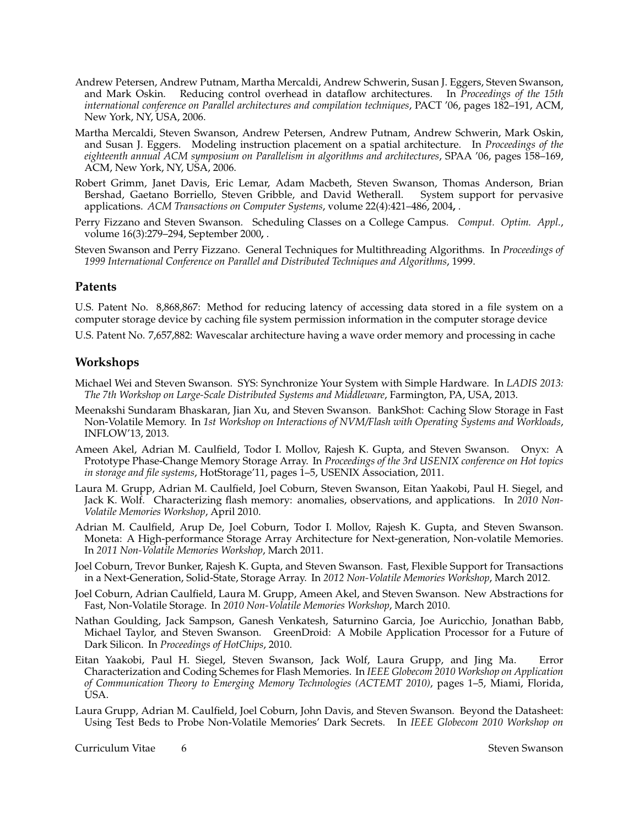- Andrew Petersen, Andrew Putnam, Martha Mercaldi, Andrew Schwerin, Susan J. Eggers, Steven Swanson, and Mark Oskin. Reducing control overhead in dataflow architectures. In *Proceedings of the 15th international conference on Parallel architectures and compilation techniques*, PACT '06, pages 182–191, ACM, New York, NY, USA, 2006.
- Martha Mercaldi, Steven Swanson, Andrew Petersen, Andrew Putnam, Andrew Schwerin, Mark Oskin, and Susan J. Eggers. Modeling instruction placement on a spatial architecture. In *Proceedings of the eighteenth annual ACM symposium on Parallelism in algorithms and architectures*, SPAA '06, pages 158–169, ACM, New York, NY, USA, 2006.
- Robert Grimm, Janet Davis, Eric Lemar, Adam Macbeth, Steven Swanson, Thomas Anderson, Brian Bershad, Gaetano Borriello, Steven Gribble, and David Wetherall. System support for pervasive applications. *ACM Transactions on Computer Systems*, volume 22(4):421–486, 2004**,** .
- Perry Fizzano and Steven Swanson. Scheduling Classes on a College Campus. *Comput. Optim. Appl.*, volume 16(3):279–294, September 2000**,** .
- Steven Swanson and Perry Fizzano. General Techniques for Multithreading Algorithms. In *Proceedings of 1999 International Conference on Parallel and Distributed Techniques and Algorithms*, 1999.

#### **Patents**

U.S. Patent No. 8,868,867: Method for reducing latency of accessing data stored in a file system on a computer storage device by caching file system permission information in the computer storage device

U.S. Patent No. 7,657,882: Wavescalar architecture having a wave order memory and processing in cache

#### **Workshops**

- Michael Wei and Steven Swanson. SYS: Synchronize Your System with Simple Hardware. In *LADIS 2013: The 7th Workshop on Large-Scale Distributed Systems and Middleware*, Farmington, PA, USA, 2013.
- Meenakshi Sundaram Bhaskaran, Jian Xu, and Steven Swanson. BankShot: Caching Slow Storage in Fast Non-Volatile Memory. In *1st Workshop on Interactions of NVM/Flash with Operating Systems and Workloads*, INFLOW'13, 2013.
- Ameen Akel, Adrian M. Caulfield, Todor I. Mollov, Rajesh K. Gupta, and Steven Swanson. Onyx: A Prototype Phase-Change Memory Storage Array. In *Proceedings of the 3rd USENIX conference on Hot topics in storage and file systems*, HotStorage'11, pages 1–5, USENIX Association, 2011.
- Laura M. Grupp, Adrian M. Caulfield, Joel Coburn, Steven Swanson, Eitan Yaakobi, Paul H. Siegel, and Jack K. Wolf. Characterizing flash memory: anomalies, observations, and applications. In *2010 Non-Volatile Memories Workshop*, April 2010.
- Adrian M. Caulfield, Arup De, Joel Coburn, Todor I. Mollov, Rajesh K. Gupta, and Steven Swanson. Moneta: A High-performance Storage Array Architecture for Next-generation, Non-volatile Memories. In *2011 Non-Volatile Memories Workshop*, March 2011.
- Joel Coburn, Trevor Bunker, Rajesh K. Gupta, and Steven Swanson. Fast, Flexible Support for Transactions in a Next-Generation, Solid-State, Storage Array. In *2012 Non-Volatile Memories Workshop*, March 2012.
- Joel Coburn, Adrian Caulfield, Laura M. Grupp, Ameen Akel, and Steven Swanson. New Abstractions for Fast, Non-Volatile Storage. In *2010 Non-Volatile Memories Workshop*, March 2010.
- Nathan Goulding, Jack Sampson, Ganesh Venkatesh, Saturnino Garcia, Joe Auricchio, Jonathan Babb, Michael Taylor, and Steven Swanson. GreenDroid: A Mobile Application Processor for a Future of Dark Silicon. In *Proceedings of HotChips*, 2010.
- Eitan Yaakobi, Paul H. Siegel, Steven Swanson, Jack Wolf, Laura Grupp, and Jing Ma. Error Characterization and Coding Schemes for Flash Memories. In *IEEE Globecom 2010 Workshop on Application of Communication Theory to Emerging Memory Technologies (ACTEMT 2010)*, pages 1–5, Miami, Florida, USA.
- Laura Grupp, Adrian M. Caulfield, Joel Coburn, John Davis, and Steven Swanson. Beyond the Datasheet: Using Test Beds to Probe Non-Volatile Memories' Dark Secrets. In *IEEE Globecom 2010 Workshop on*

Curriculum Vitae 6 Steven Swanson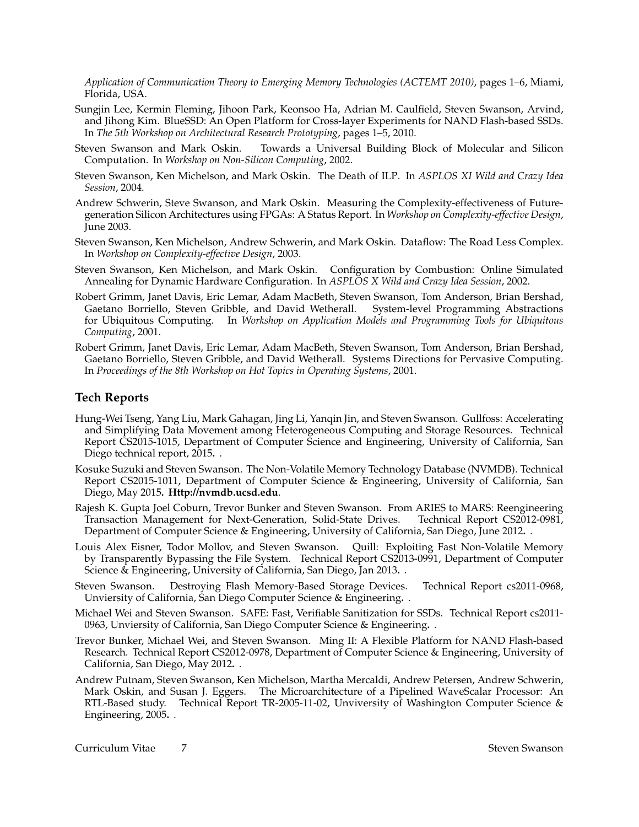*Application of Communication Theory to Emerging Memory Technologies (ACTEMT 2010)*, pages 1–6, Miami, Florida, USA.

- Sungjin Lee, Kermin Fleming, Jihoon Park, Keonsoo Ha, Adrian M. Caulfield, Steven Swanson, Arvind, and Jihong Kim. BlueSSD: An Open Platform for Cross-layer Experiments for NAND Flash-based SSDs. In *The 5th Workshop on Architectural Research Prototyping*, pages 1–5, 2010.
- Steven Swanson and Mark Oskin. Towards a Universal Building Block of Molecular and Silicon Computation. In *Workshop on Non-Silicon Computing*, 2002.
- Steven Swanson, Ken Michelson, and Mark Oskin. The Death of ILP. In *ASPLOS XI Wild and Crazy Idea Session*, 2004.
- Andrew Schwerin, Steve Swanson, and Mark Oskin. Measuring the Complexity-effectiveness of Futuregeneration Silicon Architectures using FPGAs: A Status Report. In *Workshop on Complexity-effective Design*, June 2003.
- Steven Swanson, Ken Michelson, Andrew Schwerin, and Mark Oskin. Dataflow: The Road Less Complex. In *Workshop on Complexity-effective Design*, 2003.
- Steven Swanson, Ken Michelson, and Mark Oskin. Configuration by Combustion: Online Simulated Annealing for Dynamic Hardware Configuration. In *ASPLOS X Wild and Crazy Idea Session*, 2002.
- Robert Grimm, Janet Davis, Eric Lemar, Adam MacBeth, Steven Swanson, Tom Anderson, Brian Bershad, Gaetano Borriello, Steven Gribble, and David Wetherall. System-level Programming Abstractions for Ubiquitous Computing. In *Workshop on Application Models and Programming Tools for Ubiquitous Computing*, 2001.
- Robert Grimm, Janet Davis, Eric Lemar, Adam MacBeth, Steven Swanson, Tom Anderson, Brian Bershad, Gaetano Borriello, Steven Gribble, and David Wetherall. Systems Directions for Pervasive Computing. In *Proceedings of the 8th Workshop on Hot Topics in Operating Systems*, 2001.

#### **Tech Reports**

- Hung-Wei Tseng, Yang Liu, Mark Gahagan, Jing Li, Yanqin Jin, and Steven Swanson. Gullfoss: Accelerating and Simplifying Data Movement among Heterogeneous Computing and Storage Resources. Technical Report CS2015-1015, Department of Computer Science and Engineering, University of California, San Diego technical report, 2015**.** .
- Kosuke Suzuki and Steven Swanson. The Non-Volatile Memory Technology Database (NVMDB). Technical Report CS2015-1011, Department of Computer Science & Engineering, University of California, San Diego, May 2015**. Http://nvmdb.ucsd.edu**.
- Rajesh K. Gupta Joel Coburn, Trevor Bunker and Steven Swanson. From ARIES to MARS: Reengineering Transaction Management for Next-Generation, Solid-State Drives. Technical Report CS2012-0981, Department of Computer Science & Engineering, University of California, San Diego, June 2012**.** .
- Louis Alex Eisner, Todor Mollov, and Steven Swanson. Quill: Exploiting Fast Non-Volatile Memory by Transparently Bypassing the File System. Technical Report CS2013-0991, Department of Computer Science & Engineering, University of California, San Diego, Jan 2013**.** .
- Steven Swanson. Destroying Flash Memory-Based Storage Devices. Technical Report cs2011-0968, Unviersity of California, San Diego Computer Science & Engineering**.** .
- Michael Wei and Steven Swanson. SAFE: Fast, Verifiable Sanitization for SSDs. Technical Report cs2011- 0963, Unviersity of California, San Diego Computer Science & Engineering**.** .
- Trevor Bunker, Michael Wei, and Steven Swanson. Ming II: A Flexible Platform for NAND Flash-based Research. Technical Report CS2012-0978, Department of Computer Science & Engineering, University of California, San Diego, May 2012**.** .
- Andrew Putnam, Steven Swanson, Ken Michelson, Martha Mercaldi, Andrew Petersen, Andrew Schwerin, Mark Oskin, and Susan J. Eggers. The Microarchitecture of a Pipelined WaveScalar Processor: An RTL-Based study. Technical Report TR-2005-11-02, Unviversity of Washington Computer Science & Engineering, 2005**.** .

Curriculum Vitae 7 Steven Swanson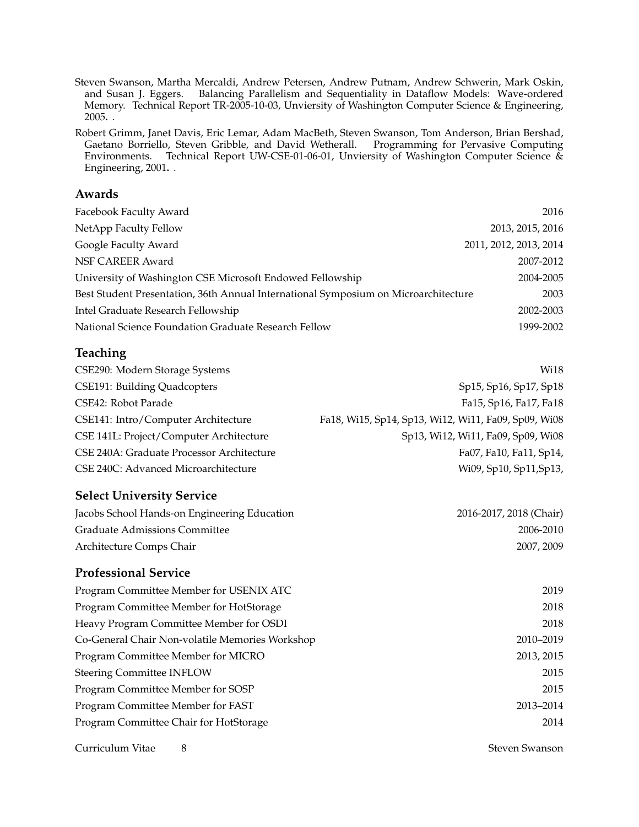Steven Swanson, Martha Mercaldi, Andrew Petersen, Andrew Putnam, Andrew Schwerin, Mark Oskin, and Susan J. Eggers. Balancing Parallelism and Sequentiality in Dataflow Models: Wave-ordered Memory. Technical Report TR-2005-10-03, Unviersity of Washington Computer Science & Engineering, 2005**.** .

Robert Grimm, Janet Davis, Eric Lemar, Adam MacBeth, Steven Swanson, Tom Anderson, Brian Bershad, Gaetano Borriello, Steven Gribble, and David Wetherall. Programming for Pervasive Computing Environments. Technical Report UW-CSE-01-06-01, Unviersity of Washington Computer Science & Engineering, 2001**.** .

### **Awards**

| Facebook Faculty Award                                                              | 2016                   |
|-------------------------------------------------------------------------------------|------------------------|
| NetApp Faculty Fellow                                                               | 2013, 2015, 2016       |
| Google Faculty Award                                                                | 2011, 2012, 2013, 2014 |
| NSF CAREER Award                                                                    | 2007-2012              |
| University of Washington CSE Microsoft Endowed Fellowship                           | 2004-2005              |
| Best Student Presentation, 36th Annual International Symposium on Microarchitecture | 2003                   |
| Intel Graduate Research Fellowship                                                  | 2002-2003              |
| National Science Foundation Graduate Research Fellow                                | 1999-2002              |

# **Teaching**

| Wi18                                                 |
|------------------------------------------------------|
| Sp15, Sp16, Sp17, Sp18                               |
| Fa15, Sp16, Fa17, Fa18                               |
| Fa18, Wi15, Sp14, Sp13, Wi12, Wi11, Fa09, Sp09, Wi08 |
| Sp13, Wi12, Wi11, Fa09, Sp09, Wi08                   |
| Fa07, Fa10, Fa11, Sp14,                              |
| Wi09, Sp10, Sp11, Sp13,                              |
|                                                      |

## **Select University Service**

| Jacobs School Hands-on Engineering Education | 2016-2017, 2018 (Chair) |
|----------------------------------------------|-------------------------|
| Graduate Admissions Committee                | 2006-2010               |
| Architecture Comps Chair                     | 2007, 2009              |

## **Professional Service**

| Program Committee Member for USENIX ATC         | 2019       |
|-------------------------------------------------|------------|
| Program Committee Member for HotStorage         | 2018       |
| Heavy Program Committee Member for OSDI         | 2018       |
| Co-General Chair Non-volatile Memories Workshop | 2010-2019  |
| Program Committee Member for MICRO              | 2013, 2015 |
| <b>Steering Committee INFLOW</b>                | 2015       |
| Program Committee Member for SOSP               | 2015       |
| Program Committee Member for FAST               | 2013-2014  |
| Program Committee Chair for HotStorage          | 2014       |

Curriculum Vitae 8 Steven Swanson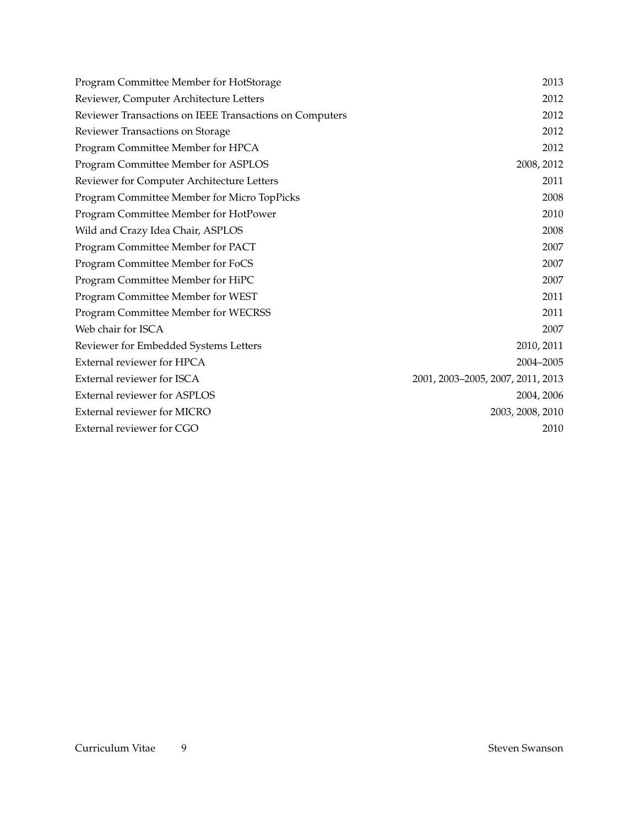| Program Committee Member for HotStorage                 | 2013                              |
|---------------------------------------------------------|-----------------------------------|
| Reviewer, Computer Architecture Letters                 | 2012                              |
| Reviewer Transactions on IEEE Transactions on Computers | 2012                              |
| Reviewer Transactions on Storage                        | 2012                              |
| Program Committee Member for HPCA                       | 2012                              |
| Program Committee Member for ASPLOS                     | 2008, 2012                        |
| Reviewer for Computer Architecture Letters              | 2011                              |
| Program Committee Member for Micro TopPicks             | 2008                              |
| Program Committee Member for HotPower                   | 2010                              |
| Wild and Crazy Idea Chair, ASPLOS                       | 2008                              |
| Program Committee Member for PACT                       | 2007                              |
| Program Committee Member for FoCS                       | 2007                              |
| Program Committee Member for HiPC                       | 2007                              |
| Program Committee Member for WEST                       | 2011                              |
| Program Committee Member for WECRSS                     | 2011                              |
| Web chair for ISCA                                      | 2007                              |
| Reviewer for Embedded Systems Letters                   | 2010, 2011                        |
| External reviewer for HPCA                              | 2004-2005                         |
| External reviewer for ISCA                              | 2001, 2003-2005, 2007, 2011, 2013 |
| <b>External reviewer for ASPLOS</b>                     | 2004, 2006                        |
| External reviewer for MICRO                             | 2003, 2008, 2010                  |
| External reviewer for CGO                               | 2010                              |